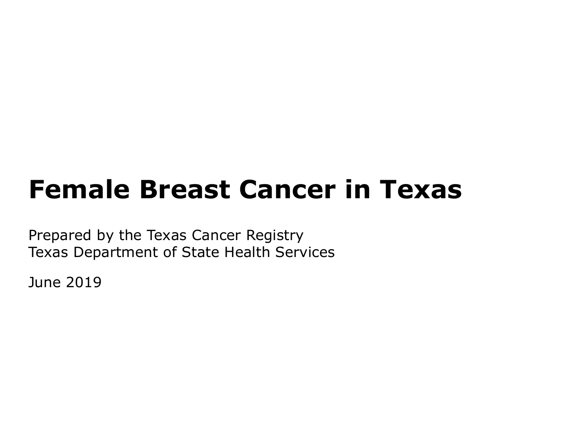# **Female Breast Cancer in Texas**

Prepared by the Texas Cancer Registry Texas Department of State Health Services

June 2019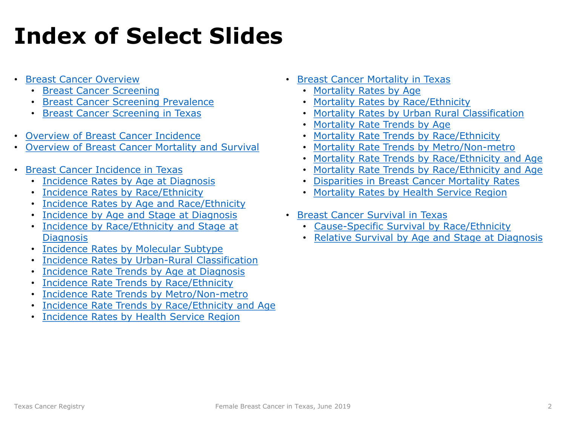# **Index of Select Slides**

- [Breast Cancer Overview](#page-3-0)
	- [Breast Cancer Screening](#page-8-0)
	- [Breast Cancer Screening Prevalence](#page-9-0)
	- [Breast Cancer Screening in Texas](#page-10-0)
- [Overview of Breast Cancer Incidence](#page-12-0)
- [Overview of Breast Cancer Mortality and Survival](#page-13-0)
- [Breast Cancer Incidence in Texas](#page-15-0)
	- [Incidence Rates by Age at Diagnosis](#page-17-0)
	- [Incidence Rates by Race/Ethnicity](#page-18-0)
	- [Incidence Rates by Age and Race/Ethnicity](#page-19-0)
	- [Incidence by Age and Stage at Diagnosis](#page-20-0)
	- [Incidence by Race/Ethnicity and Stage at](#page-21-0) **Diagnosis**
	- [Incidence Rates by Molecular Subtype](#page-22-0)
	- [Incidence Rates by Urban-Rural Classification](#page-25-0)
	- [Incidence Rate Trends by Age at Diagnosis](#page-26-0)
	- [Incidence Rate Trends by Race/Ethnicity](#page-27-0)
	- [Incidence Rate Trends by Metro/Non-metro](#page-28-0)
	- [Incidence Rate Trends by Race/Ethnicity and Age](#page-29-0)
	- [Incidence Rates by Health Service Region](#page-30-0)
- [Breast Cancer Mortality in Texas](#page-31-0)
	- [Mortality Rates by Age](#page-33-0)
	- [Mortality Rates by Race/Ethnicity](#page-34-0)
	- [Mortality Rates by Urban Rural Classification](#page-35-0)
	- [Mortality Rate Trends by Age](#page-36-0)
	- [Mortality Rate Trends by Race/Ethnicity](#page-37-0)
	- [Mortality Rate Trends by Metro/Non-metro](#page-38-0)
	- [Mortality Rate Trends by Race/Ethnicity and Age](#page-39-0)
	- [Mortality Rate Trends by Race/Ethnicity and Age](#page-39-0)
	- [Disparities in Breast Cancer Mortality Rates](#page-40-0)
	- [Mortality Rates by Health Service Region](#page-41-0)
- [Breast Cancer Survival in Texas](#page-42-0)
	- [Cause-Specific Survival by Race/Ethnicity](#page-43-0)
	- [Relative Survival by Age and Stage at Diagnosis](#page-44-0)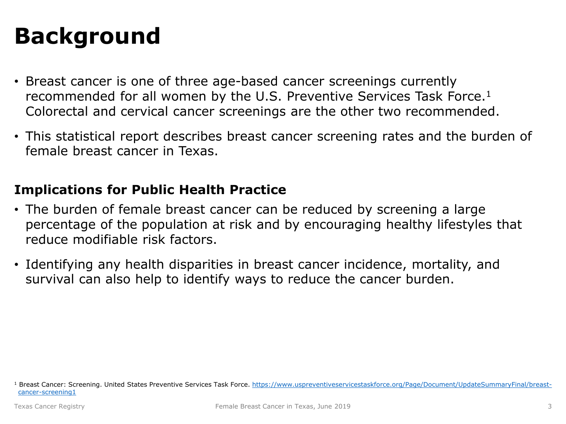# **Background**

- Breast cancer is one of three age-based cancer screenings currently recommended for all women by the U.S. Preventive Services Task Force.1 Colorectal and cervical cancer screenings are the other two recommended.
- This statistical report describes breast cancer screening rates and the burden of female breast cancer in Texas.

#### **Implications for Public Health Practice**

- The burden of female breast cancer can be reduced by screening a large percentage of the population at risk and by encouraging healthy lifestyles that reduce modifiable risk factors.
- Identifying any health disparities in breast cancer incidence, mortality, and survival can also help to identify ways to reduce the cancer burden.

<sup>&</sup>lt;sup>1</sup> [Breast Cancer: Screening. United States Preventive Services Task Force. https://www.uspreventiveservicestaskforce.org/Page/Document/UpdateSummaryFinal/breast](https://www.uspreventiveservicestaskforce.org/Page/Document/UpdateSummaryFinal/breast-cancer-screening1)cancer-screening1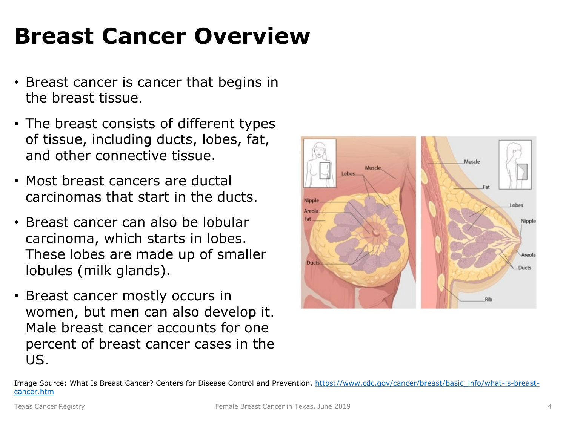# <span id="page-3-0"></span>**Breast Cancer Overview**

- Breast cancer is cancer that begins in the breast tissue.
- The breast consists of different types of tissue, including ducts, lobes, fat, and other connective tissue.
- Most breast cancers are ductal carcinomas that start in the ducts.
- Breast cancer can also be lobular carcinoma, which starts in lobes. These lobes are made up of smaller lobules (milk glands).
- Breast cancer mostly occurs in women, but men can also develop it. Male breast cancer accounts for one percent of breast cancer cases in the US.



[Image Source: What Is Breast Cancer? Centers for Disease Control and Prevention. https://www.cdc.gov/cancer/breast/basic\\_info/what-is-breast](https://www.cdc.gov/cancer/breast/basic_info/what-is-breast-cancer.htm)cancer.htm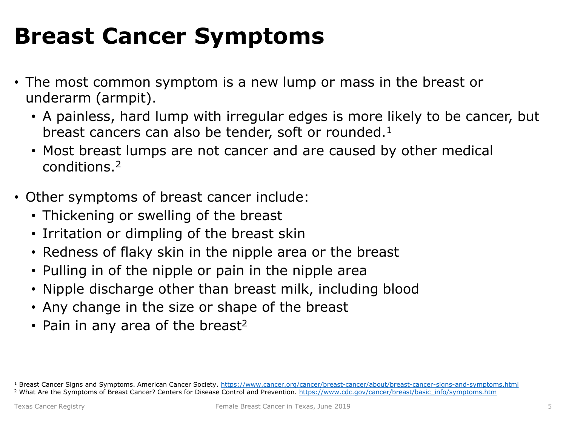# **Breast Cancer Symptoms**

- The most common symptom is a new lump or mass in the breast or underarm (armpit).
	- A painless, hard lump with irregular edges is more likely to be cancer, but breast cancers can also be tender, soft or rounded. $1$
	- Most breast lumps are not cancer and are caused by other medical conditions.2
- Other symptoms of breast cancer include:
	- Thickening or swelling of the breast
	- Irritation or dimpling of the breast skin
	- Redness of flaky skin in the nipple area or the breast
	- Pulling in of the nipple or pain in the nipple area
	- Nipple discharge other than breast milk, including blood
	- Any change in the size or shape of the breast
	- Pain in any area of the breast<sup>2</sup>

<sup>1</sup> Breast Cancer Signs and Symptoms. American Cancer Society. <https://www.cancer.org/cancer/breast-cancer/about/breast-cancer-signs-and-symptoms.html> <sup>2</sup> What Are the Symptoms of Breast Cancer? Centers for Disease Control and Prevention. [https://www.cdc.gov/cancer/breast/basic\\_info/symptoms.htm](https://www.cdc.gov/cancer/breast/basic_info/symptoms.htm)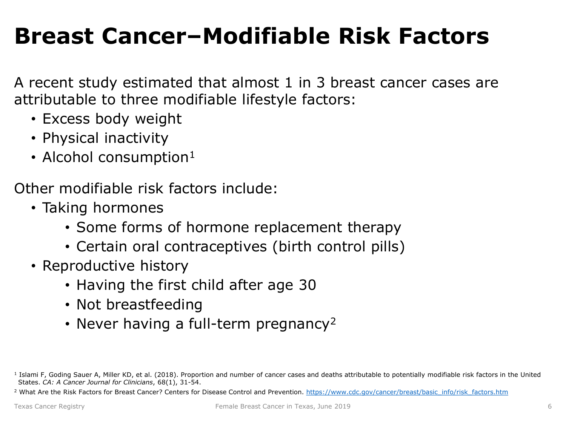# **Breast Cancer–Modifiable Risk Factors**

A recent study estimated that almost 1 in 3 breast cancer cases are attributable to three modifiable lifestyle factors:

- Excess body weight
- Physical inactivity
- Alcohol consumption $1$

Other modifiable risk factors include:

- Taking hormones
	- Some forms of hormone replacement therapy
	- Certain oral contraceptives (birth control pills)
- Reproductive history
	- Having the first child after age 30
	- Not breastfeeding
	- Never having a full-term pregnancy<sup>2</sup>

<sup>&</sup>lt;sup>1</sup> Islami F, Goding Sauer A, Miller KD, et al. (2018). Proportion and number of cancer cases and deaths attributable to potentially modifiable risk factors in the United States. *CA: A Cancer Journal for Clinicians*, 68(1), 31-54.

<sup>&</sup>lt;sup>2</sup> What Are the Risk Factors for Breast Cancer? Centers for Disease Control and Prevention, [https://www.cdc.gov/cancer/breast/basic\\_info/risk\\_factors.htm](https://www.cdc.gov/cancer/breast/basic_info/risk_factors.htm)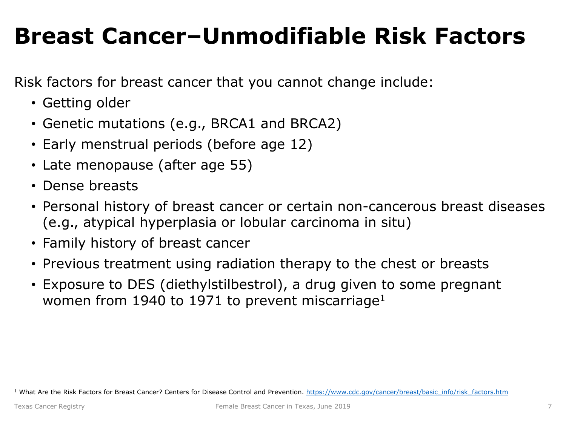# **Breast Cancer–Unmodifiable Risk Factors**

Risk factors for breast cancer that you cannot change include:

- Getting older
- Genetic mutations (e.g., BRCA1 and BRCA2)
- Early menstrual periods (before age 12)
- Late menopause (after age 55)
- Dense breasts
- Personal history of breast cancer or certain non-cancerous breast diseases (e.g., atypical hyperplasia or lobular carcinoma in situ)
- Family history of breast cancer
- Previous treatment using radiation therapy to the chest or breasts
- Exposure to DES (diethylstilbestrol), a drug given to some pregnant women from 1940 to 1971 to prevent miscarriage<sup>1</sup>

<sup>1</sup> What Are the Risk Factors for Breast Cancer? Centers for Disease Control and Prevention. [https://www.cdc.gov/cancer/breast/basic\\_info/risk\\_factors.htm](https://www.cdc.gov/cancer/breast/basic_info/risk_factors.htm)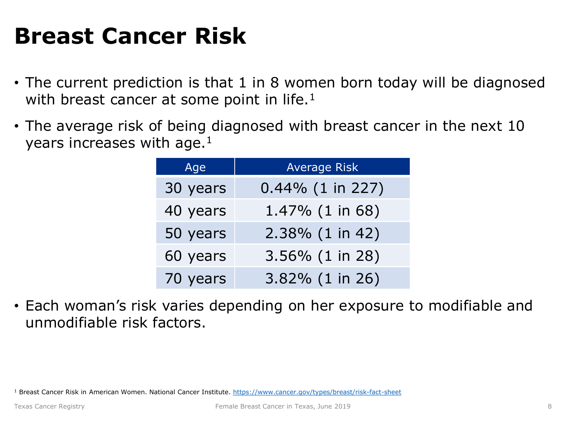# **Breast Cancer Risk**

- The current prediction is that 1 in 8 women born today will be diagnosed with breast cancer at some point in life. $<sup>1</sup>$ </sup>
- The average risk of being diagnosed with breast cancer in the next 10 years increases with age.<sup>1</sup>

| Age      | <b>Average Risk</b> |  |
|----------|---------------------|--|
| 30 years | $0.44\%$ (1 in 227) |  |
| 40 years | 1.47% (1 in 68)     |  |
| 50 years | 2.38% (1 in 42)     |  |
| 60 years | 3.56% (1 in 28)     |  |
| 70 years | 3.82% (1 in 26)     |  |

• Each woman's risk varies depending on her exposure to modifiable and unmodifiable risk factors.

<sup>1</sup> Breast Cancer Risk in American Women. National Cancer Institute.<https://www.cancer.gov/types/breast/risk-fact-sheet>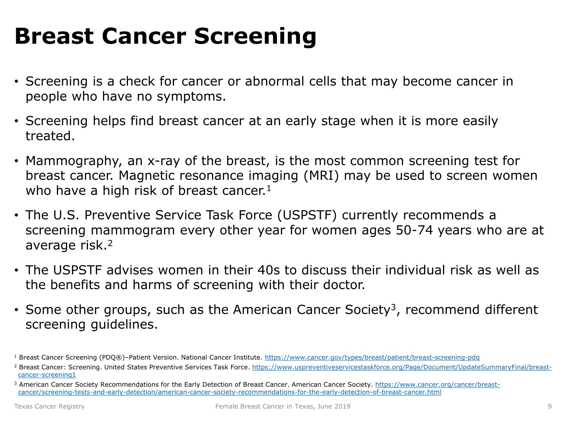# <span id="page-8-0"></span>**Breast Cancer Screening**

- Screening is a check for cancer or abnormal cells that may become cancer in people who have no symptoms.
- Screening helps find breast cancer at an early stage when it is more easily treated.
- Mammography, an x-ray of the breast, is the most common screening test for breast cancer. Magnetic resonance imaging (MRI) may be used to screen women who have a high risk of breast cancer.<sup>1</sup>
- The U.S. Preventive Service Task Force (USPSTF) currently recommends a screening mammogram every other year for women ages 50-74 years who are at average risk.2
- The USPSTF advises women in their 40s to discuss their individual risk as well as the benefits and harms of screening with their doctor.
- Some other groups, such as the American Cancer Society<sup>3</sup>, recommend different screening guidelines.

<sup>&</sup>lt;sup>1</sup> Breast Cancer Screening (PDQ®)-Patient Version. National Cancer Institute. <https://www.cancer.gov/types/breast/patient/breast-screening-pdq>

<sup>&</sup>lt;sup>2</sup> [Breast Cancer: Screening. United States Preventive Services Task Force. https://www.uspreventiveservicestaskforce.org/Page/Document/UpdateSummaryFinal/breast](https://www.uspreventiveservicestaskforce.org/Page/Document/UpdateSummaryFinal/breast-cancer-screening1)cancer-screening1

<sup>&</sup>lt;sup>3</sup> [American Cancer Society Recommendations for the Early Detection of Breast Cancer. American Cancer Society. https://www.cancer.org/cancer/breast](https://www.cancer.org/cancer/breast-cancer/screening-tests-and-early-detection/american-cancer-society-recommendations-for-the-early-detection-of-breast-cancer.html)cancer/screening-tests-and-early-detection/american-cancer-society-recommendations-for-the-early-detection-of-breast-cancer.html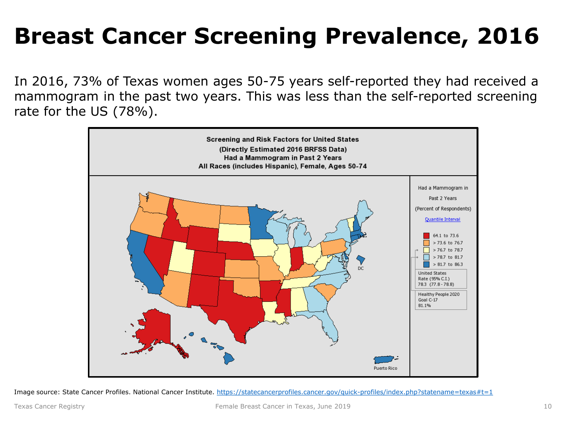# <span id="page-9-0"></span>**Breast Cancer Screening Prevalence, 2016**

In 2016, 73% of Texas women ages 50-75 years self-reported they had received a mammogram in the past two years. This was less than the self-reported screening rate for the US (78%).



Image source: State Cancer Profiles. National Cancer Institute. https://statecancerprofiles.cancer.gov/guick-profiles/index.php?statename=texas#t=1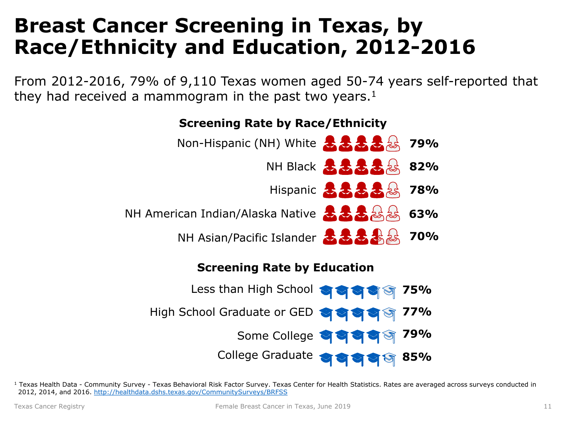### <span id="page-10-0"></span>**Breast Cancer Screening in Texas, by Race/Ethnicity and Education, 2012-2016**

From 2012-2016, 79% of 9,110 Texas women aged 50-74 years self-reported that they had received a mammogram in the past two years.<sup>1</sup>



#### <sup>1</sup> Texas Health Data - Community Survey - Texas Behavioral Risk Factor Survey. Texas Center for Health Statistics. Rates are averaged across surveys conducted in 2012, 2014, and 2016. <http://healthdata.dshs.texas.gov/CommunitySurveys/BRFSS>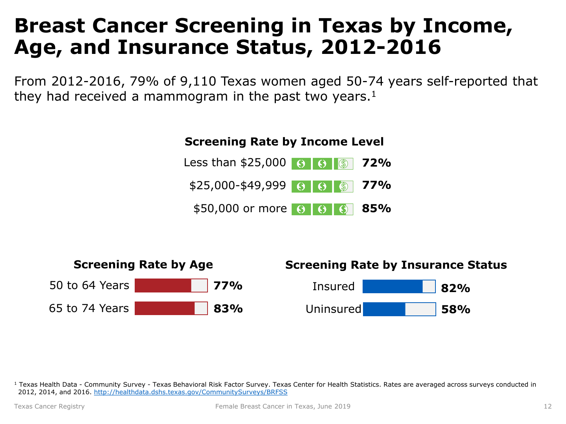### **Breast Cancer Screening in Texas by Income, Age, and Insurance Status, 2012-2016**

From 2012-2016, 79% of 9,110 Texas women aged 50-74 years self-reported that they had received a mammogram in the past two years. $1$ 





<sup>1</sup> Texas Health Data - Community Survey - Texas Behavioral Risk Factor Survey. Texas Center for Health Statistics. Rates are averaged across surveys conducted in 2012, 2014, and 2016. <http://healthdata.dshs.texas.gov/CommunitySurveys/BRFSS>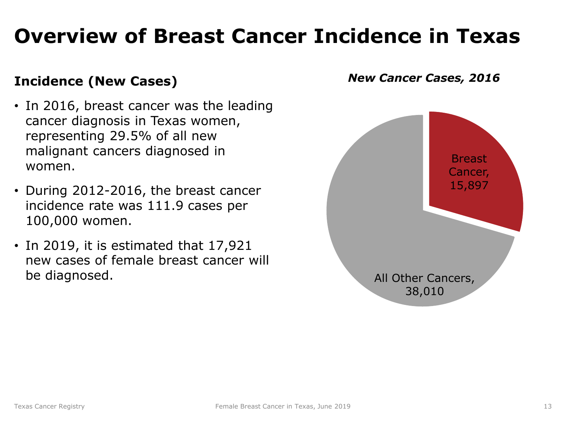## <span id="page-12-0"></span>**Overview of Breast Cancer Incidence in Texas**

#### **Incidence (New Cases)**

- In 2016, breast cancer was the leading cancer diagnosis in Texas women, representing 29.5% of all new malignant cancers diagnosed in women.
- During 2012-2016, the breast cancer incidence rate was 111.9 cases per 100,000 women.
- In 2019, it is estimated that 17,921 new cases of female breast cancer will be diagnosed.

*New Cancer Cases, 2016*

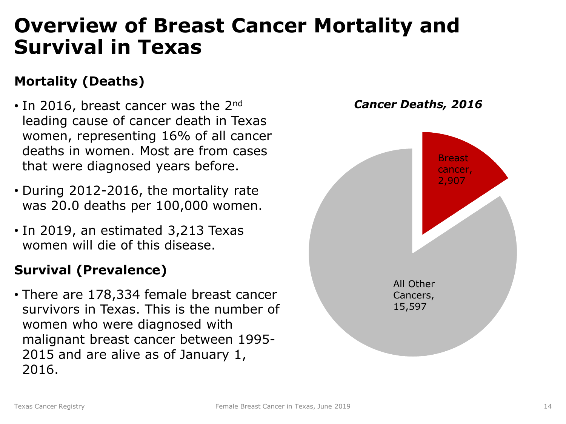### <span id="page-13-0"></span>**Overview of Breast Cancer Mortality and Survival in Texas**

#### **Mortality (Deaths)**

- $\cdot$  In 2016, breast cancer was the 2<sup>nd</sup> leading cause of cancer death in Texas women, representing 16% of all cancer deaths in women. Most are from cases that were diagnosed years before.
- During 2012-2016, the mortality rate was 20.0 deaths per 100,000 women.
- In 2019, an estimated 3,213 Texas women will die of this disease.

#### **Survival (Prevalence)**

• There are 178,334 female breast cancer survivors in Texas. This is the number of women who were diagnosed with malignant breast cancer between 1995- 2015 and are alive as of January 1, 2016.

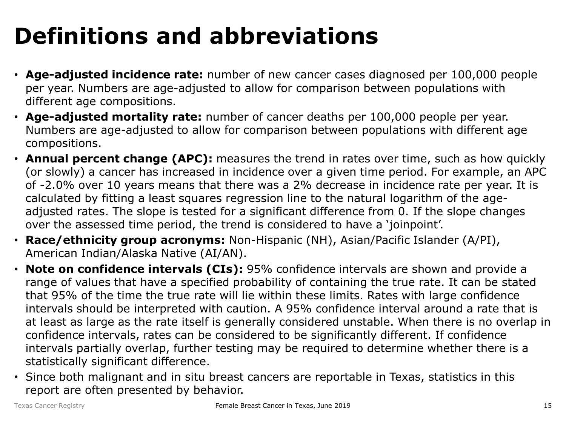# **Definitions and abbreviations**

- **Age-adjusted incidence rate:** number of new cancer cases diagnosed per 100,000 people per year. Numbers are age-adjusted to allow for comparison between populations with different age compositions.
- **Age-adjusted mortality rate:** number of cancer deaths per 100,000 people per year. Numbers are age-adjusted to allow for comparison between populations with different age compositions.
- **Annual percent change (APC):** measures the trend in rates over time, such as how quickly (or slowly) a cancer has increased in incidence over a given time period. For example, an APC of -2.0% over 10 years means that there was a 2% decrease in incidence rate per year. It is calculated by fitting a least squares regression line to the natural logarithm of the ageadjusted rates. The slope is tested for a significant difference from 0. If the slope changes over the assessed time period, the trend is considered to have a 'joinpoint'.
- **Race/ethnicity group acronyms:** Non-Hispanic (NH), Asian/Pacific Islander (A/PI), American Indian/Alaska Native (AI/AN).
- **Note on confidence intervals (CIs):** 95% confidence intervals are shown and provide a range of values that have a specified probability of containing the true rate. It can be stated that 95% of the time the true rate will lie within these limits. Rates with large confidence intervals should be interpreted with caution. A 95% confidence interval around a rate that is at least as large as the rate itself is generally considered unstable. When there is no overlap in confidence intervals, rates can be considered to be significantly different. If confidence intervals partially overlap, further testing may be required to determine whether there is a statistically significant difference.
- Since both malignant and in situ breast cancers are reportable in Texas, statistics in this report are often presented by behavior.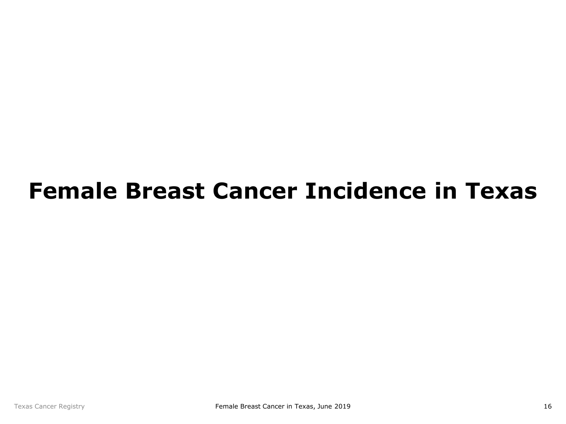# <span id="page-15-0"></span>**Female Breast Cancer Incidence in Texas**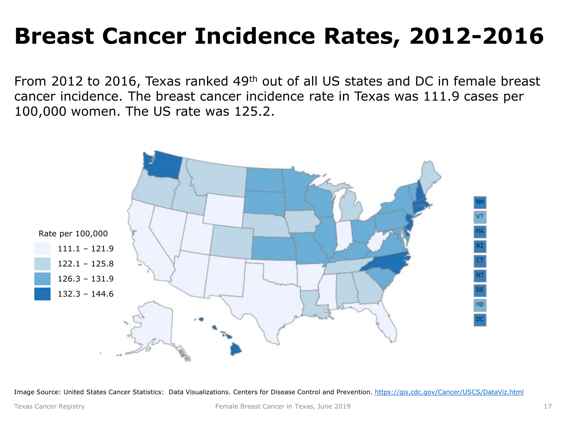# **Breast Cancer Incidence Rates, 2012-2016**

From 2012 to 2016, Texas ranked 49th out of all US states and DC in female breast cancer incidence. The breast cancer incidence rate in Texas was 111.9 cases per 100,000 women. The US rate was 125.2.



Image Source: United States Cancer Statistics: Data Visualizations. Centers for Disease Control and Prevention. <https://gis.cdc.gov/Cancer/USCS/DataViz.html>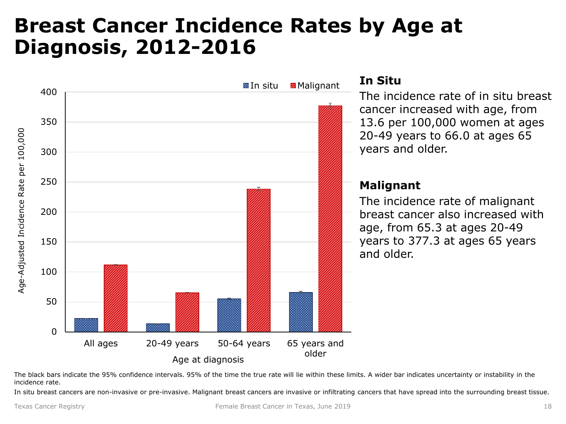### <span id="page-17-0"></span>**Breast Cancer Incidence Rates by Age at Diagnosis, 2012-2016**



The black bars indicate the 95% confidence intervals. 95% of the time the true rate will lie within these limits. A wider bar indicates uncertainty or instability in the incidence rate.

In situ breast cancers are non-invasive or pre-invasive. Malignant breast cancers are invasive or infiltrating cancers that have spread into the surrounding breast tissue.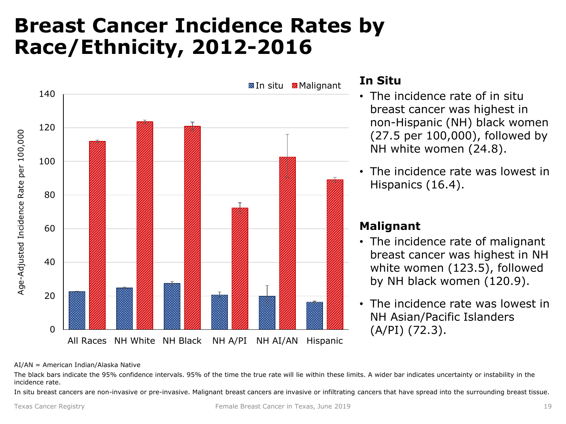### <span id="page-18-0"></span>**Breast Cancer Incidence Rates by Race/Ethnicity, 2012-2016**



#### **In Situ**

- The incidence rate of in situ breast cancer was highest in non-Hispanic (NH) black women (27.5 per 100,000), followed by NH white women (24.8).
- The incidence rate was lowest in Hispanics (16.4).

#### **Malignant**

- The incidence rate of malignant breast cancer was highest in NH white women (123.5), followed by NH black women (120.9).
- The incidence rate was lowest in NH Asian/Pacific Islanders (A/PI) (72.3).

AI/AN = American Indian/Alaska Native

The black bars indicate the 95% confidence intervals. 95% of the time the true rate will lie within these limits. A wider bar indicates uncertainty or instability in the incidence rate.

In situ breast cancers are non-invasive or pre-invasive. Malignant breast cancers are invasive or infiltrating cancers that have spread into the surrounding breast tissue.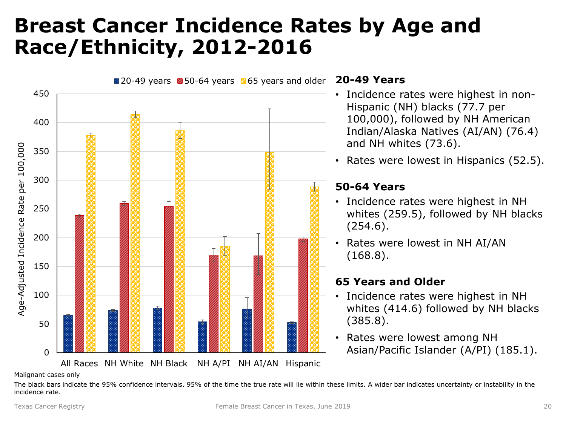### <span id="page-19-0"></span>**Breast Cancer Incidence Rates by Age and Race/Ethnicity, 2012-2016**



#### **20-49 Years**

- Incidence rates were highest in non-Hispanic (NH) blacks (77.7 per 100,000), followed by NH American Indian/Alaska Natives (AI/AN) (76.4) and NH whites (73.6).
- Rates were lowest in Hispanics (52.5).

#### **50-64 Years**

- Incidence rates were highest in NH whites (259.5), followed by NH blacks (254.6).
- Rates were lowest in NH AI/AN (168.8).

#### **65 Years and Older**

- Incidence rates were highest in NH whites (414.6) followed by NH blacks (385.8).
- Rates were lowest among NH Asian/Pacific Islander (A/PI) (185.1).

Malignant cases only

The black bars indicate the 95% confidence intervals. 95% of the time the true rate will lie within these limits. A wider bar indicates uncertainty or instability in the incidence rate.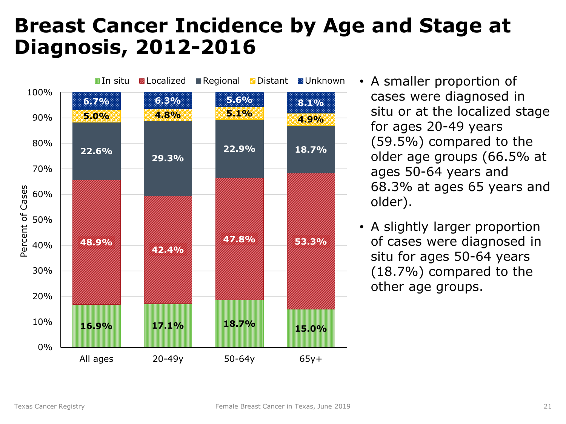### <span id="page-20-0"></span>**Breast Cancer Incidence by Age and Stage at Diagnosis, 2012-2016**



- A smaller proportion of cases were diagnosed in situ or at the localized stage for ages 20-49 years (59.5%) compared to the older age groups (66.5% at ages 50-64 years and 68.3% at ages 65 years and older).
- A slightly larger proportion of cases were diagnosed in situ for ages 50-64 years (18.7%) compared to the other age groups.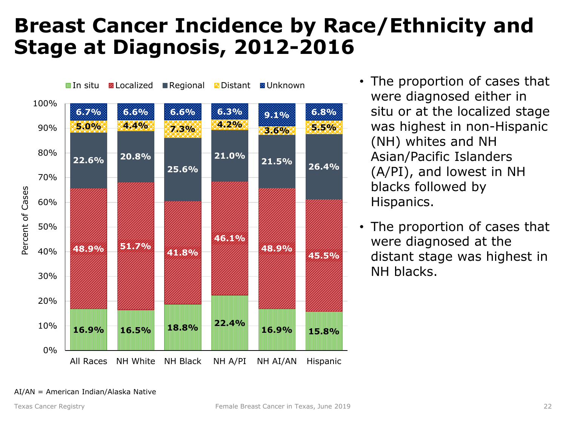### <span id="page-21-0"></span>**Breast Cancer Incidence by Race/Ethnicity and Stage at Diagnosis, 2012-2016**



- The proportion of cases that were diagnosed either in situ or at the localized stage was highest in non-Hispanic (NH) whites and NH Asian/Pacific Islanders (A/PI), and lowest in NH blacks followed by Hispanics.
- The proportion of cases that were diagnosed at the distant stage was highest in NH blacks.

#### AI/AN = American Indian/Alaska Native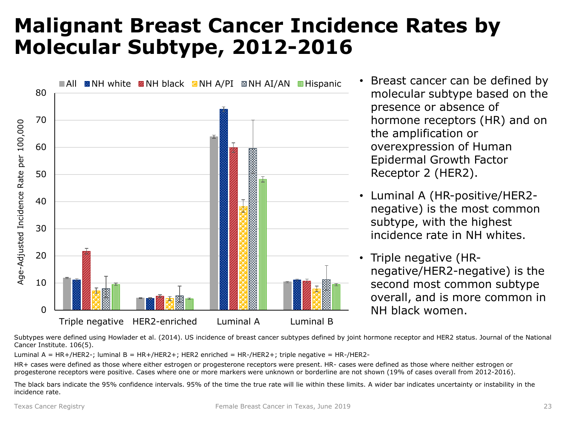### <span id="page-22-0"></span>**Malignant Breast Cancer Incidence Rates by Molecular Subtype, 2012-2016**



- Breast cancer can be defined by molecular subtype based on the presence or absence of hormone receptors (HR) and on the amplification or overexpression of Human Epidermal Growth Factor Receptor 2 (HER2).
- Luminal A (HR-positive/HER2 negative) is the most common subtype, with the highest incidence rate in NH whites.
- Triple negative (HRnegative/HER2-negative) is the second most common subtype overall, and is more common in NH black women.

Subtypes were defined using Howlader et al. (2014). US incidence of breast cancer subtypes defined by joint hormone receptor and HER2 status. Journal of the National Cancer Institute. 106(5).

Luminal A = HR+/HER2-; luminal B = HR+/HER2+; HER2 enriched = HR-/HER2+; triple negative = HR-/HER2-

HR+ cases were defined as those where either estrogen or progesterone receptors were present. HR- cases were defined as those where neither estrogen or progesterone receptors were positive. Cases where one or more markers were unknown or borderline are not shown (19% of cases overall from 2012-2016).

The black bars indicate the 95% confidence intervals. 95% of the time the true rate will lie within these limits. A wider bar indicates uncertainty or instability in the incidence rate.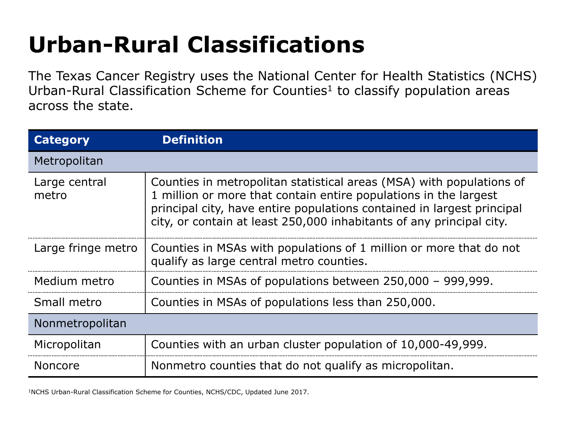# **Urban-Rural Classifications**

The Texas Cancer Registry uses the National Center for Health Statistics (NCHS) Urban-Rural Classification Scheme for Counties<sup>1</sup> to classify population areas across the state.

| <b>Category</b>        | <b>Definition</b>                                                                                                                                                                                                                                                                          |  |
|------------------------|--------------------------------------------------------------------------------------------------------------------------------------------------------------------------------------------------------------------------------------------------------------------------------------------|--|
| Metropolitan           |                                                                                                                                                                                                                                                                                            |  |
| Large central<br>metro | Counties in metropolitan statistical areas (MSA) with populations of<br>1 million or more that contain entire populations in the largest<br>principal city, have entire populations contained in largest principal<br>city, or contain at least 250,000 inhabitants of any principal city. |  |
| Large fringe metro     | Counties in MSAs with populations of 1 million or more that do not<br>qualify as large central metro counties.                                                                                                                                                                             |  |
| Medium metro           | Counties in MSAs of populations between 250,000 - 999,999.                                                                                                                                                                                                                                 |  |
| Small metro            | Counties in MSAs of populations less than 250,000.                                                                                                                                                                                                                                         |  |
| Nonmetropolitan        |                                                                                                                                                                                                                                                                                            |  |
| Micropolitan           | Counties with an urban cluster population of 10,000-49,999.                                                                                                                                                                                                                                |  |
| <b>Noncore</b>         | Nonmetro counties that do not qualify as micropolitan.                                                                                                                                                                                                                                     |  |

1NCHS Urban-Rural Classification Scheme for Counties, NCHS/CDC, Updated June 2017.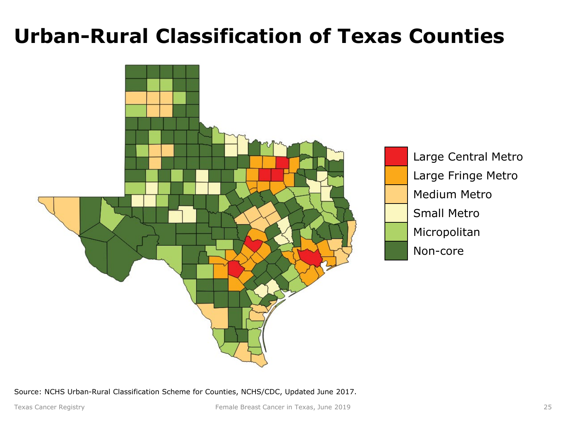### **Urban-Rural Classification of Texas Counties**



Source: NCHS Urban-Rural Classification Scheme for Counties, NCHS/CDC, Updated June 2017.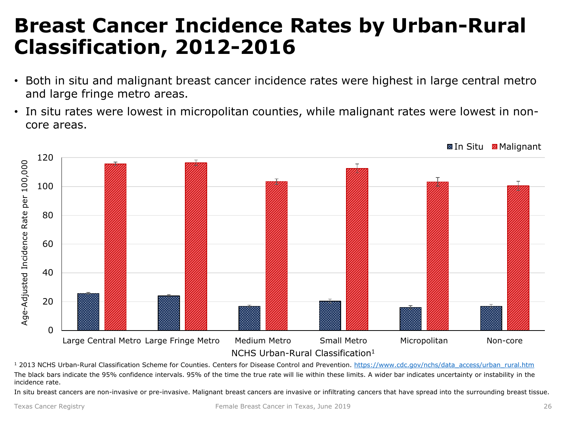### <span id="page-25-0"></span>**Breast Cancer Incidence Rates by Urban-Rural Classification, 2012-2016**

- Both in situ and malignant breast cancer incidence rates were highest in large central metro and large fringe metro areas.
- In situ rates were lowest in micropolitan counties, while malignant rates were lowest in noncore areas.



<sup>1</sup> 2013 NCHS Urban-Rural Classification Scheme for Counties. Centers for Disease Control and Prevention. [https://www.cdc.gov/nchs/data\\_access/urban\\_rural.htm](https://www.cdc.gov/nchs/data_access/urban_rural.htm) The black bars indicate the 95% confidence intervals. 95% of the time the true rate will lie within these limits. A wider bar indicates uncertainty or instability in the incidence rate.

In situ breast cancers are non-invasive or pre-invasive. Malignant breast cancers are invasive or infiltrating cancers that have spread into the surrounding breast tissue.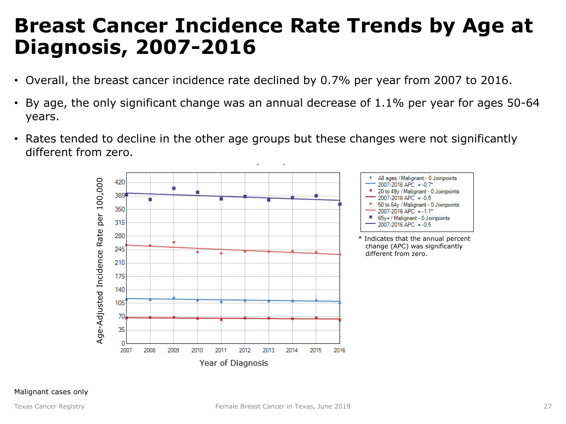### <span id="page-26-0"></span>**Breast Cancer Incidence Rate Trends by Age at Diagnosis, 2007-2016**

- Overall, the breast cancer incidence rate declined by 0.7% per year from 2007 to 2016.
- By age, the only significant change was an annual decrease of 1.1% per year for ages 50-64 years.
- Rates tended to decline in the other age groups but these changes were not significantly different from zero.

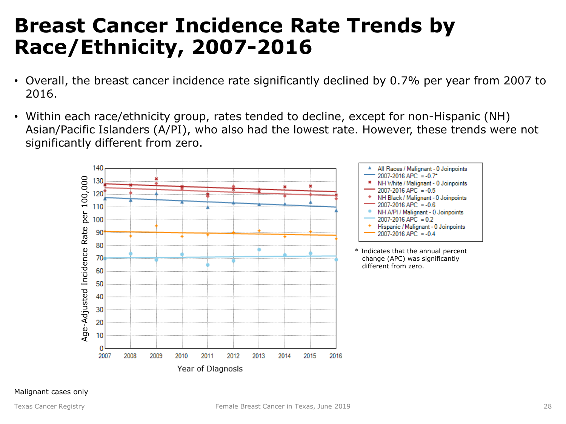### <span id="page-27-0"></span>**Breast Cancer Incidence Rate Trends by Race/Ethnicity, 2007-2016**

- Overall, the breast cancer incidence rate significantly declined by 0.7% per year from 2007 to 2016.
- Within each race/ethnicity group, rates tended to decline, except for non-Hispanic (NH) Asian/Pacific Islanders (A/PI), who also had the lowest rate. However, these trends were not significantly different from zero.

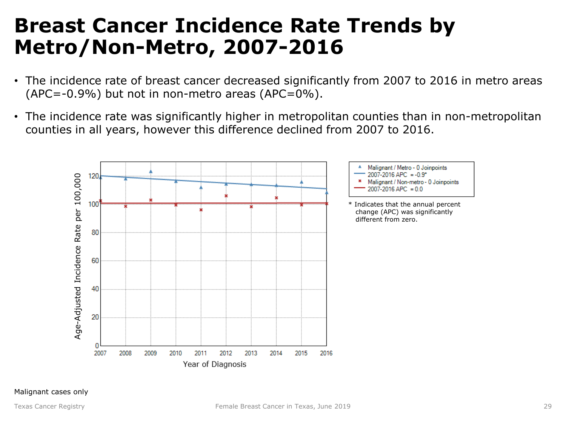### <span id="page-28-0"></span>**Breast Cancer Incidence Rate Trends by Metro/Non-Metro, 2007-2016**

- The incidence rate of breast cancer decreased significantly from 2007 to 2016 in metro areas  $(APC=-0.9\%)$  but not in non-metro areas  $(APC=0\%)$ .
- The incidence rate was significantly higher in metropolitan counties than in non-metropolitan counties in all years, however this difference declined from 2007 to 2016.

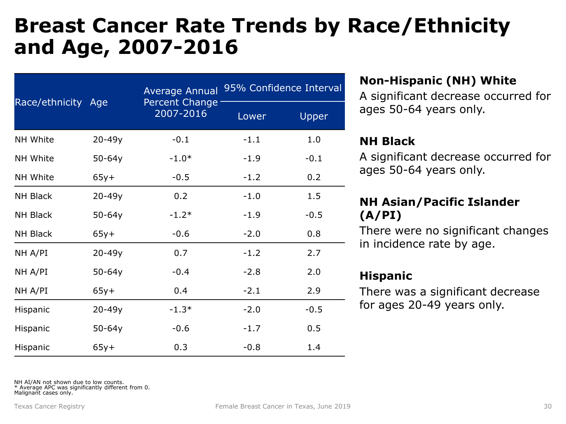### <span id="page-29-0"></span>**Breast Cancer Rate Trends by Race/Ethnicity and Age, 2007-2016**

| Race/ethnicity Age |            | <b>Average Annual</b><br>Percent Change<br>2007-2016 | 95% Confidence Interval |        |
|--------------------|------------|------------------------------------------------------|-------------------------|--------|
|                    |            |                                                      | Lower                   | Upper  |
| <b>NH White</b>    | $20 - 49y$ | $-0.1$                                               | $-1.1$                  | 1.0    |
| <b>NH White</b>    | $50 - 64y$ | $-1.0*$                                              | $-1.9$                  | $-0.1$ |
| <b>NH White</b>    | $65y+$     | $-0.5$                                               | $-1.2$                  | 0.2    |
| <b>NH Black</b>    | 20-49y     | 0.2                                                  | $-1.0$                  | 1.5    |
| <b>NH Black</b>    | $50 - 64y$ | $-1.2*$                                              | $-1.9$                  | $-0.5$ |
| NH Black           | $65y+$     | $-0.6$                                               | $-2.0$                  | 0.8    |
| NH A/PI            | 20-49y     | 0.7                                                  | $-1.2$                  | 2.7    |
| NH A/PI            | $50 - 64y$ | $-0.4$                                               | $-2.8$                  | 2.0    |
| NH A/PI            | $65y+$     | 0.4                                                  | $-2.1$                  | 2.9    |
| Hispanic           | 20-49y     | $-1.3*$                                              | $-2.0$                  | $-0.5$ |
| Hispanic           | $50 - 64y$ | $-0.6$                                               | $-1.7$                  | 0.5    |
| Hispanic           | $65y+$     | 0.3                                                  | $-0.8$                  | 1.4    |

#### **Non-Hispanic (NH) White**

A significant decrease occurred for ages 50-64 years only.

#### **NH Black**

A significant decrease occurred for ages 50-64 years only.

#### **NH Asian/Pacific Islander (A/PI)**

There were no significant changes in incidence rate by age.

#### **Hispanic**

There was a significant decrease for ages 20-49 years only.

NH AI/AN not shown due to low counts.

\* Average APC was significantly different from 0. Malignant cases only.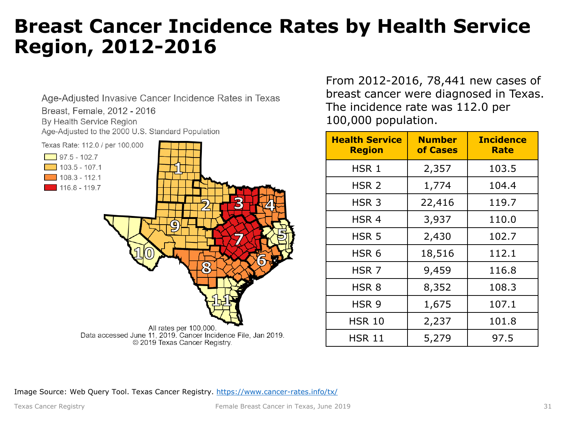#### <span id="page-30-0"></span>**Breast Cancer Incidence Rates by Health Service Region, 2012-2016**



From 2012-2016, 78,441 new cases of breast cancer were diagnosed in Texas. The incidence rate was 112.0 per 100,000 population.

| <b>Health Service</b><br><b>Region</b> | <b>Number</b><br>of Cases | <b>Incidence</b><br>Rate |
|----------------------------------------|---------------------------|--------------------------|
| HSR 1                                  | 2,357                     | 103.5                    |
| HSR <sub>2</sub>                       | 1,774                     | 104.4                    |
| HSR <sub>3</sub>                       | 22,416                    | 119.7                    |
| HSR <sub>4</sub>                       | 3,937                     | 110.0                    |
| HSR <sub>5</sub>                       | 2,430                     | 102.7                    |
| HSR <sub>6</sub>                       | 18,516                    | 112.1                    |
| HSR <sub>7</sub>                       | 9,459                     | 116.8                    |
| HSR <sub>8</sub>                       | 8,352                     | 108.3                    |
| HSR 9                                  | 1,675                     | 107.1                    |
| <b>HSR 10</b>                          | 2,237                     | 101.8                    |
| <b>HSR 11</b>                          | 5,279                     | 97.5                     |

Image Source: Web Query Tool. Texas Cancer Registry.<https://www.cancer-rates.info/tx/>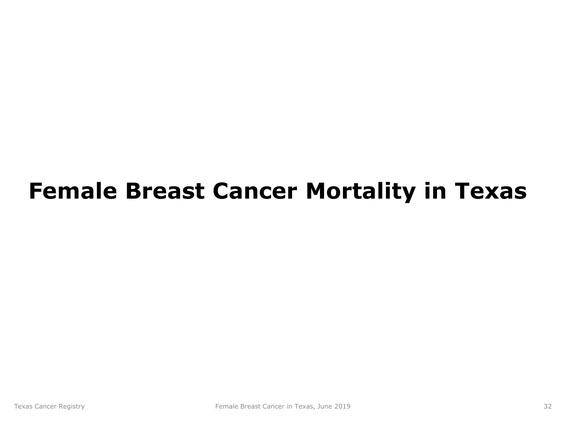# <span id="page-31-0"></span>**Female Breast Cancer Mortality in Texas**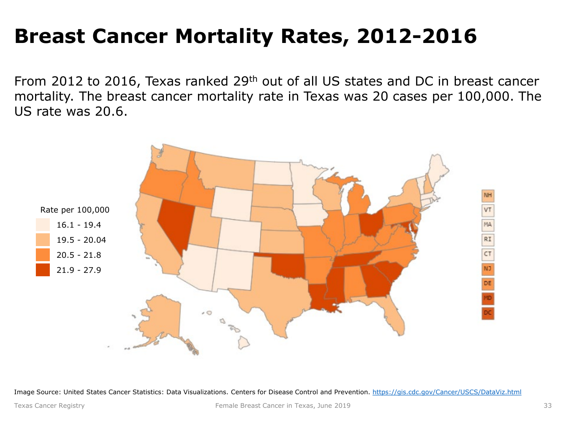## **Breast Cancer Mortality Rates, 2012-2016**

From 2012 to 2016, Texas ranked 29th out of all US states and DC in breast cancer mortality. The breast cancer mortality rate in Texas was 20 cases per 100,000. The US rate was 20.6.



Image Source: United States Cancer Statistics: Data Visualizations. Centers for Disease Control and Prevention. <https://gis.cdc.gov/Cancer/USCS/DataViz.html>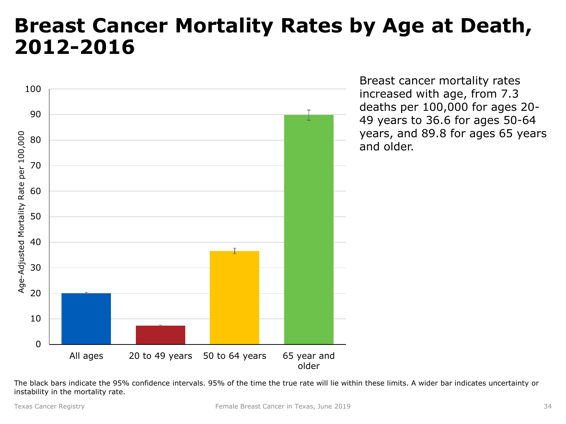#### <span id="page-33-0"></span>**Breast Cancer Mortality Rates by Age at Death, 2012-2016**



Breast cancer mortality rates increased with age, from 7.3 deaths per 100,000 for ages 20- 49 years to 36.6 for ages 50-64 years, and 89.8 for ages 65 years and older.

The black bars indicate the 95% confidence intervals. 95% of the time the true rate will lie within these limits. A wider bar indicates uncertainty or instability in the mortality rate.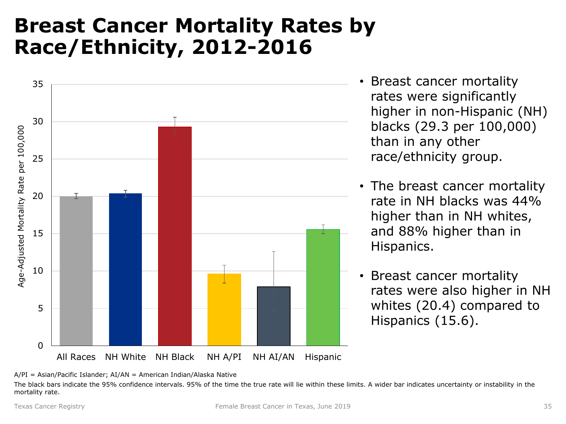### <span id="page-34-0"></span>**Breast Cancer Mortality Rates by Race/Ethnicity, 2012-2016**



- Breast cancer mortality rates were significantly higher in non-Hispanic (NH) blacks (29.3 per 100,000) than in any other race/ethnicity group.
- The breast cancer mortality rate in NH blacks was 44% higher than in NH whites, and 88% higher than in Hispanics.
- Breast cancer mortality rates were also higher in NH whites (20.4) compared to Hispanics (15.6).

The black bars indicate the 95% confidence intervals. 95% of the time the true rate will lie within these limits. A wider bar indicates uncertainty or instability in the mortality rate.

A/PI = Asian/Pacific Islander; AI/AN = American Indian/Alaska Native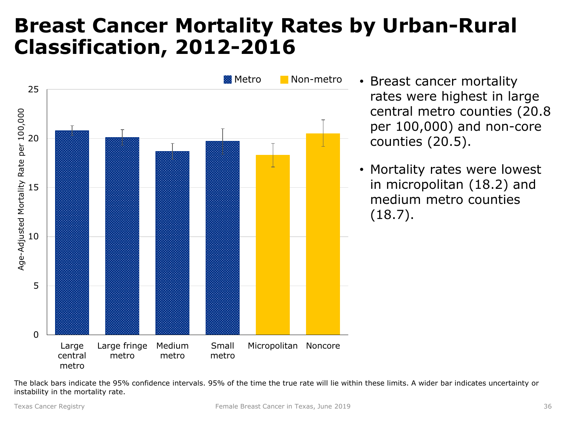### <span id="page-35-0"></span>**Breast Cancer Mortality Rates by Urban-Rural Classification, 2012-2016**



- Breast cancer mortality rates were highest in large central metro counties (20.8 per 100,000) and non-core counties (20.5).
- Mortality rates were lowest in micropolitan (18.2) and medium metro counties (18.7).

The black bars indicate the 95% confidence intervals. 95% of the time the true rate will lie within these limits. A wider bar indicates uncertainty or instability in the mortality rate.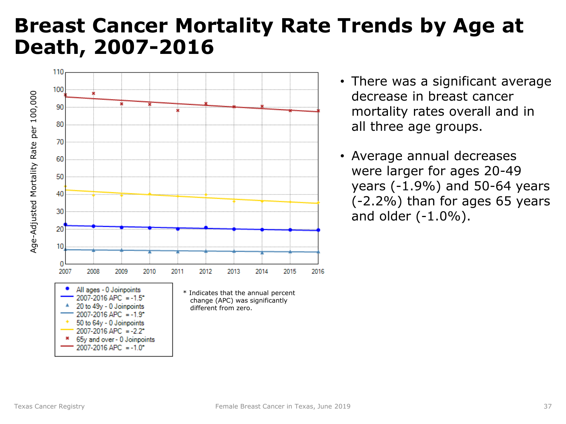### <span id="page-36-0"></span>**Breast Cancer Mortality Rate Trends by Age at Death, 2007-2016**



- There was a significant average decrease in breast cancer mortality rates overall and in all three age groups.
- Average annual decreases were larger for ages 20-49 years (-1.9%) and 50-64 years (-2.2%) than for ages 65 years and older  $(-1.0\%)$ .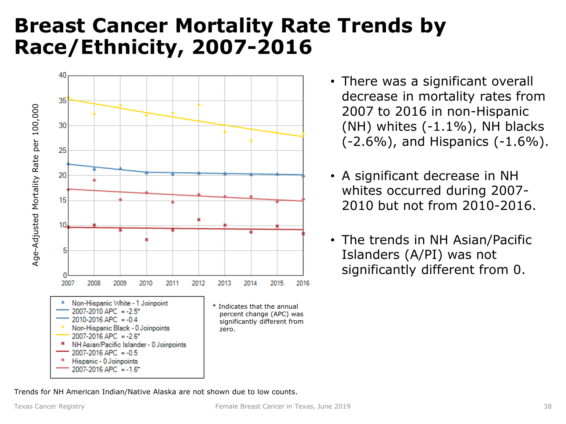### <span id="page-37-0"></span>**Breast Cancer Mortality Rate Trends by Race/Ethnicity, 2007-2016**



- There was a significant overall decrease in mortality rates from 2007 to 2016 in non-Hispanic  $(NH)$  whites  $(-1.1\%)$ , NH blacks  $(-2.6\%)$ , and Hispanics  $(-1.6\%)$ .
- A significant decrease in NH whites occurred during 2007- 2010 but not from 2010-2016.
- The trends in NH Asian/Pacific Islanders (A/PI) was not significantly different from 0.

Trends for NH American Indian/Native Alaska are not shown due to low counts.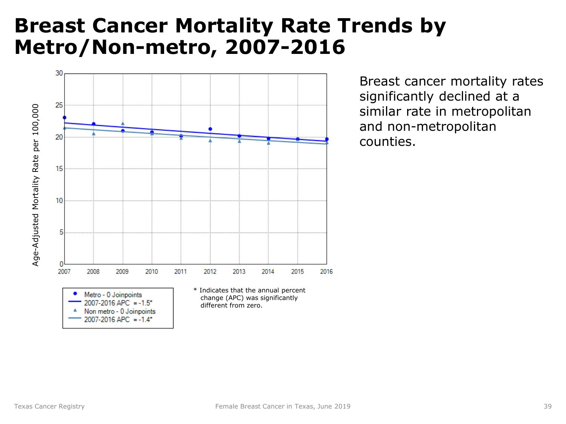### <span id="page-38-0"></span>**Breast Cancer Mortality Rate Trends by Metro/Non-metro, 2007-2016**



Breast cancer mortality rates significantly declined at a similar rate in metropolitan and non-metropolitan counties.

 $2007 - 2016$  APC =  $-1.4$ <sup>\*</sup>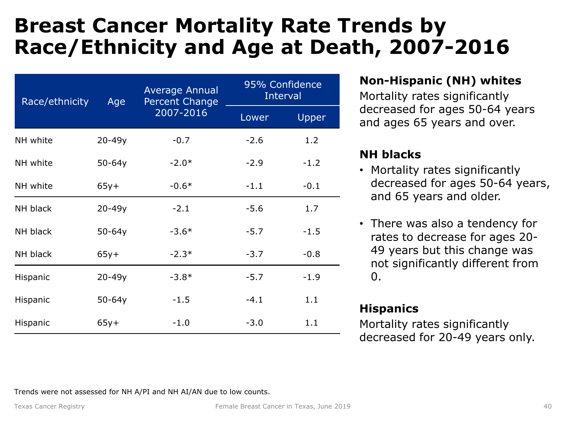### <span id="page-39-0"></span>**Breast Cancer Mortality Rate Trends by Race/Ethnicity and Age at Death, 2007-2016**

| Race/ethnicity | Age        | Average Annual<br><b>Percent Change</b><br>2007-2016 | 95% Confidence<br>Interval |        |
|----------------|------------|------------------------------------------------------|----------------------------|--------|
|                |            |                                                      | Lower                      | Upper  |
| NH white       | $20 - 49y$ | $-0.7$                                               | $-2.6$                     | 1.2    |
| NH white       | $50 - 64y$ | $-2.0*$                                              | $-2.9$                     | $-1.2$ |
| NH white       | $65y+$     | $-0.6*$                                              | $-1.1$                     | $-0.1$ |
| NH black       | $20 - 49y$ | $-2.1$                                               | $-5.6$                     | 1.7    |
| NH black       | $50 - 64y$ | $-3.6*$                                              | $-5.7$                     | $-1.5$ |
| NH black       | $65y+$     | $-2.3*$                                              | $-3.7$                     | $-0.8$ |
| Hispanic       | $20 - 49y$ | $-3.8*$                                              | $-5.7$                     | $-1.9$ |
| Hispanic       | $50-64y$   | $-1.5$                                               | $-4.1$                     | 1.1    |
| Hispanic       | $65y+$     | $-1.0$                                               | $-3.0$                     | 1.1    |

#### **Non-Hispanic (NH) whites**

Mortality rates significantly decreased for ages 50-64 years and ages 65 years and over.

#### **NH blacks**

- Mortality rates significantly decreased for ages 50-64 years, and 65 years and older.
- There was also a tendency for rates to decrease for ages 20- 49 years but this change was not significantly different from  $\Omega$ .

#### **Hispanics**

Mortality rates significantly decreased for 20-49 years only.

Trends were not assessed for NH A/PI and NH AI/AN due to low counts.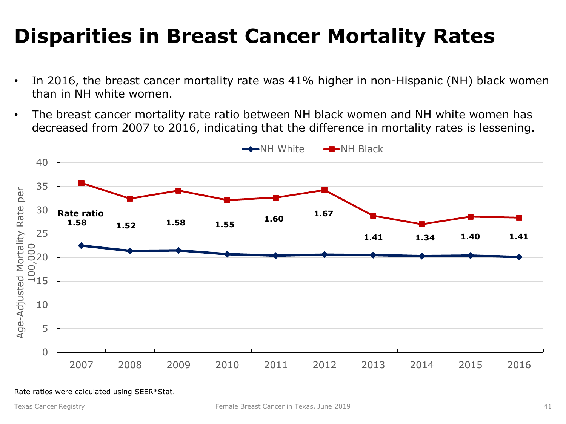# <span id="page-40-0"></span>**Disparities in Breast Cancer Mortality Rates**

- In 2016, the breast cancer mortality rate was 41% higher in non-Hispanic (NH) black women than in NH white women.
- The breast cancer mortality rate ratio between NH black women and NH white women has decreased from 2007 to 2016, indicating that the difference in mortality rates is lessening.



Rate ratios were calculated using SEER\*Stat.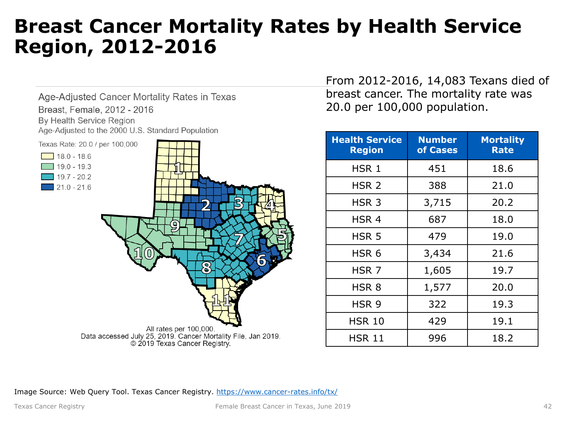#### <span id="page-41-0"></span>**Breast Cancer Mortality Rates by Health Service Region, 2012-2016**

Age-Adjusted Cancer Mortality Rates in Texas Breast, Female, 2012 - 2016 By Health Service Region Age-Adjusted to the 2000 U.S. Standard Population



From 2012-2016, 14,083 Texans died of breast cancer. The mortality rate was 20.0 per 100,000 population.

| <b>Health Service</b><br><b>Region</b> | <b>Number</b><br>of Cases | <b>Mortality</b><br><b>Rate</b> |
|----------------------------------------|---------------------------|---------------------------------|
| HSR <sub>1</sub>                       | 451                       | 18.6                            |
| HSR <sub>2</sub>                       | 388                       | 21.0                            |
| HSR <sub>3</sub>                       | 3,715                     | 20.2                            |
| HSR <sub>4</sub>                       | 687                       | 18.0                            |
| HSR <sub>5</sub>                       | 479                       | 19.0                            |
| HSR <sub>6</sub>                       | 3,434                     | 21.6                            |
| HSR <sub>7</sub>                       | 1,605                     | 19.7                            |
| HSR <sub>8</sub>                       | 1,577                     | 20.0                            |
| HSR 9                                  | 322                       | 19.3                            |
| HSR 10                                 | 429                       | 19.1                            |
| <b>HSR 11</b>                          | 996                       | 18.2                            |

Image Source: Web Query Tool. Texas Cancer Registry.<https://www.cancer-rates.info/tx/>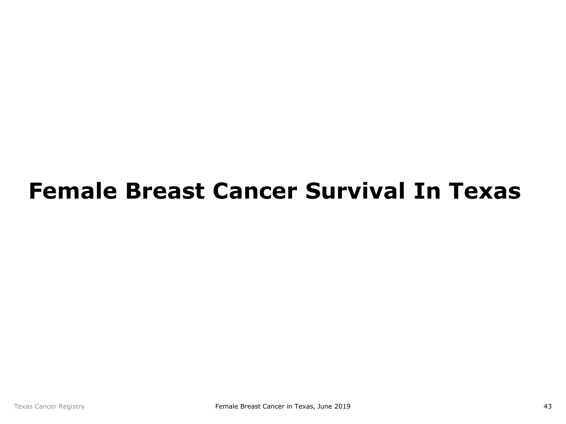# <span id="page-42-0"></span>**Female Breast Cancer Survival In Texas**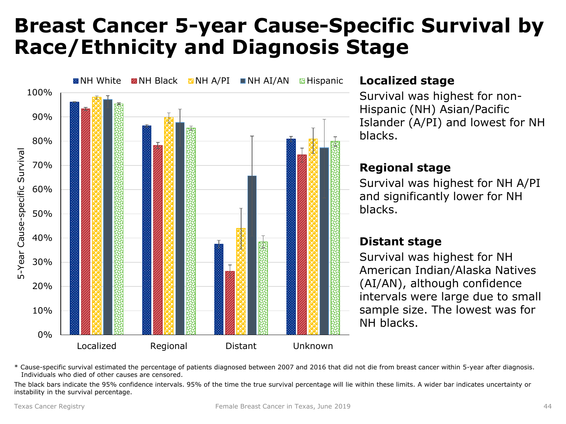### <span id="page-43-0"></span>**Breast Cancer 5-year Cause-Specific Survival by Race/Ethnicity and Diagnosis Stage**



\* Cause-specific survival estimated the percentage of patients diagnosed between 2007 and 2016 that did not die from breast cancer within 5-year after diagnosis. Individuals who died of other causes are censored.

The black bars indicate the 95% confidence intervals. 95% of the time the true survival percentage will lie within these limits. A wider bar indicates uncertainty or instability in the survival percentage.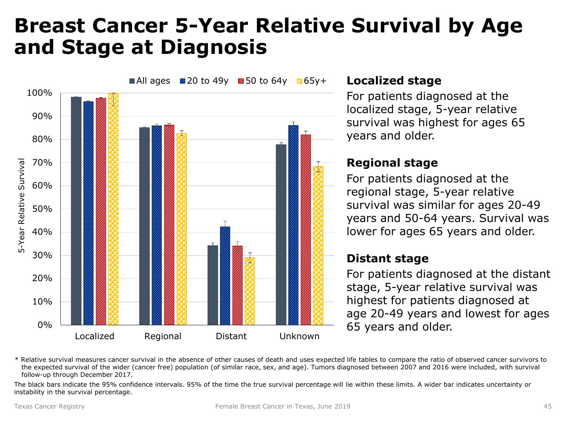### <span id="page-44-0"></span>**Breast Cancer 5-Year Relative Survival by Age and Stage at Diagnosis**



#### **Localized stage**

For patients diagnosed at the localized stage, 5-year relative survival was highest for ages 65 years and older.

#### **Regional stage**

For patients diagnosed at the regional stage, 5-year relative survival was similar for ages 20-49 years and 50-64 years. Survival was lower for ages 65 years and older.

#### **Distant stage**

For patients diagnosed at the distant stage, 5-year relative survival was highest for patients diagnosed at age 20-49 years and lowest for ages 65 years and older.

\* Relative survival measures cancer survival in the absence of other causes of death and uses expected life tables to compare the ratio of observed cancer survivors to the expected survival of the wider (cancer free) population (of similar race, sex, and age). Tumors diagnosed between 2007 and 2016 were included, with survival follow-up through December 2017.

The black bars indicate the 95% confidence intervals. 95% of the time the true survival percentage will lie within these limits. A wider bar indicates uncertainty or instability in the survival percentage.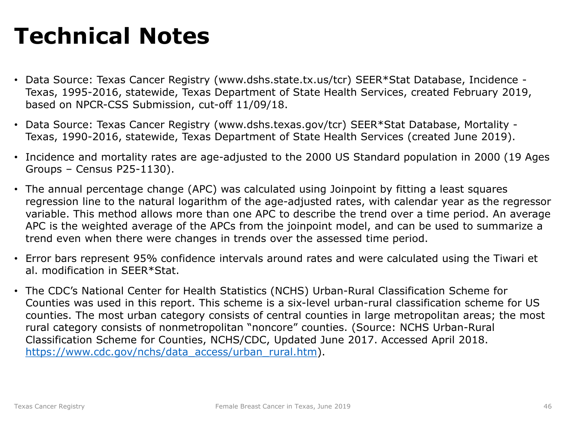# **Technical Notes**

- Data Source: Texas Cancer Registry (www.dshs.state.tx.us/tcr) SEER\*Stat Database, Incidence Texas, 1995-2016, statewide, Texas Department of State Health Services, created February 2019, based on NPCR-CSS Submission, cut-off 11/09/18.
- Data Source: Texas Cancer Registry (www.dshs.texas.gov/tcr) SEER\*Stat Database, Mortality Texas, 1990-2016, statewide, Texas Department of State Health Services (created June 2019).
- Incidence and mortality rates are age-adjusted to the 2000 US Standard population in 2000 (19 Ages Groups – Census P25-1130).
- The annual percentage change (APC) was calculated using Joinpoint by fitting a least squares regression line to the natural logarithm of the age-adjusted rates, with calendar year as the regressor variable. This method allows more than one APC to describe the trend over a time period. An average APC is the weighted average of the APCs from the joinpoint model, and can be used to summarize a trend even when there were changes in trends over the assessed time period.
- Error bars represent 95% confidence intervals around rates and were calculated using the Tiwari et al. modification in SEER\*Stat.
- The CDC's National Center for Health Statistics (NCHS) Urban-Rural Classification Scheme for Counties was used in this report. This scheme is a six-level urban-rural classification scheme for US counties. The most urban category consists of central counties in large metropolitan areas; the most rural category consists of nonmetropolitan "noncore" counties. (Source: NCHS Urban-Rural Classification Scheme for Counties, NCHS/CDC, Updated June 2017. Accessed April 2018. [https://www.cdc.gov/nchs/data\\_access/urban\\_rural.htm](https://www.cdc.gov/nchs/data_access/urban_rural.htm)).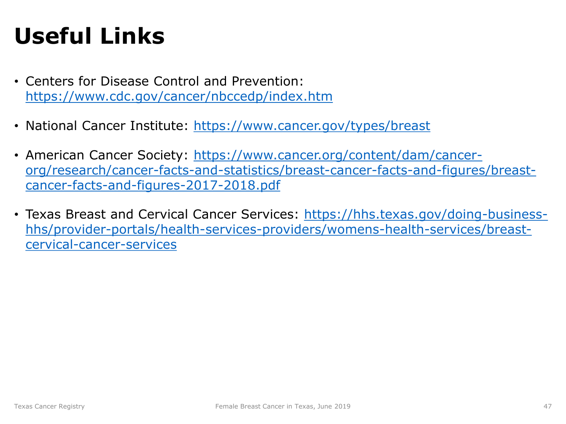# **Useful Links**

- Centers for Disease Control and Prevention: <https://www.cdc.gov/cancer/nbccedp/index.htm>
- National Cancer Institute: <https://www.cancer.gov/types/breast>
- American Cancer Society: https://www.cancer.org/content/dam/cancer[org/research/cancer-facts-and-statistics/breast-cancer-facts-and-figures/breast](https://www.cancer.org/content/dam/cancer-org/research/cancer-facts-and-statistics/breast-cancer-facts-and-figures/breast-cancer-facts-and-figures-2017-2018.pdf)cancer-facts-and-figures-2017-2018.pdf
- [Texas Breast and Cervical Cancer Services: https://hhs.texas.gov/doing-business](https://hhs.texas.gov/doing-business-hhs/provider-portals/health-services-providers/womens-health-services/breast-cervical-cancer-services)hhs/provider-portals/health-services-providers/womens-health-services/breastcervical-cancer-services